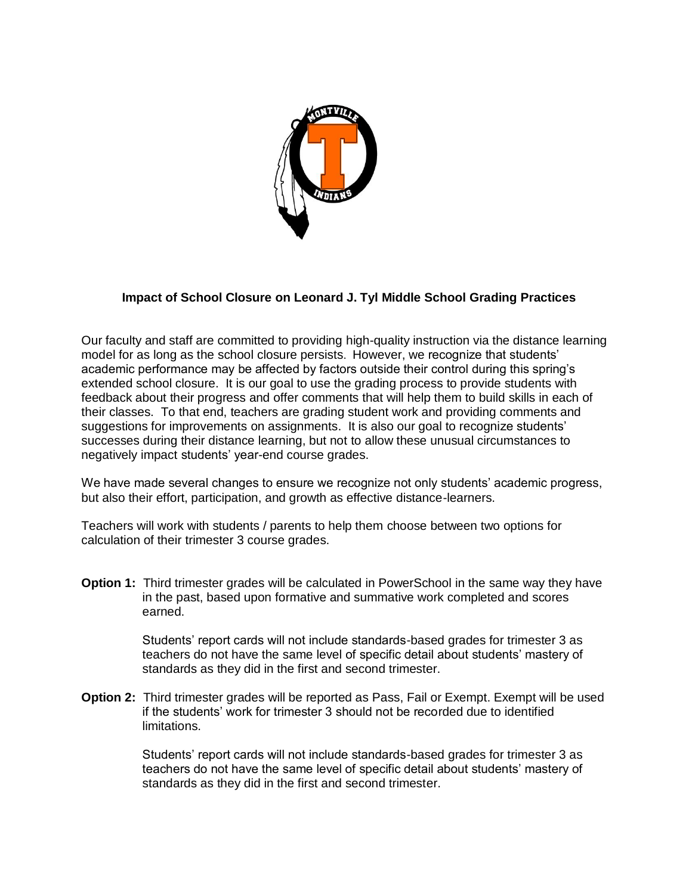

# **Impact of School Closure on Leonard J. Tyl Middle School Grading Practices**

Our faculty and staff are committed to providing high-quality instruction via the distance learning model for as long as the school closure persists. However, we recognize that students' academic performance may be affected by factors outside their control during this spring's extended school closure. It is our goal to use the grading process to provide students with feedback about their progress and offer comments that will help them to build skills in each of their classes. To that end, teachers are grading student work and providing comments and suggestions for improvements on assignments. It is also our goal to recognize students' successes during their distance learning, but not to allow these unusual circumstances to negatively impact students' year-end course grades.

We have made several changes to ensure we recognize not only students' academic progress, but also their effort, participation, and growth as effective distance-learners.

Teachers will work with students / parents to help them choose between two options for calculation of their trimester 3 course grades.

**Option 1:** Third trimester grades will be calculated in PowerSchool in the same way they have in the past, based upon formative and summative work completed and scores earned.

> Students' report cards will not include standards-based grades for trimester 3 as teachers do not have the same level of specific detail about students' mastery of standards as they did in the first and second trimester.

**Option 2:** Third trimester grades will be reported as Pass, Fail or Exempt. Exempt will be used if the students' work for trimester 3 should not be recorded due to identified limitations.

> Students' report cards will not include standards-based grades for trimester 3 as teachers do not have the same level of specific detail about students' mastery of standards as they did in the first and second trimester.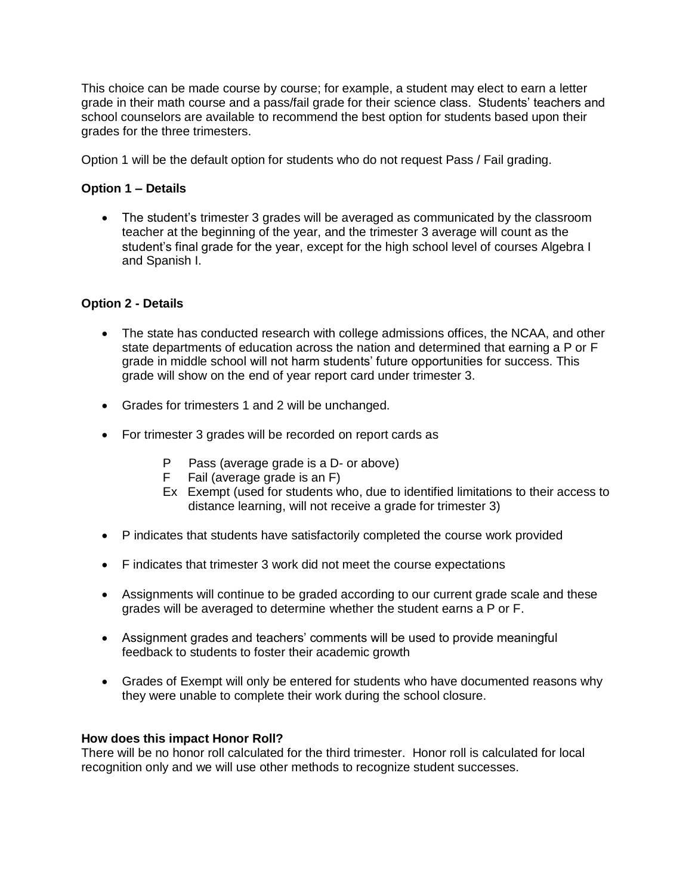This choice can be made course by course; for example, a student may elect to earn a letter grade in their math course and a pass/fail grade for their science class. Students' teachers and school counselors are available to recommend the best option for students based upon their grades for the three trimesters.

Option 1 will be the default option for students who do not request Pass / Fail grading.

## **Option 1 – Details**

 The student's trimester 3 grades will be averaged as communicated by the classroom teacher at the beginning of the year, and the trimester 3 average will count as the student's final grade for the year, except for the high school level of courses Algebra I and Spanish I.

# **Option 2 - Details**

- The state has conducted research with college admissions offices, the NCAA, and other state departments of education across the nation and determined that earning a P or F grade in middle school will not harm students' future opportunities for success. This grade will show on the end of year report card under trimester 3.
- Grades for trimesters 1 and 2 will be unchanged.
- For trimester 3 grades will be recorded on report cards as
	- P Pass (average grade is a D- or above)
	- F Fail (average grade is an F)
	- Ex Exempt (used for students who, due to identified limitations to their access to distance learning, will not receive a grade for trimester 3)
- P indicates that students have satisfactorily completed the course work provided
- F indicates that trimester 3 work did not meet the course expectations
- Assignments will continue to be graded according to our current grade scale and these grades will be averaged to determine whether the student earns a P or F.
- Assignment grades and teachers' comments will be used to provide meaningful feedback to students to foster their academic growth
- Grades of Exempt will only be entered for students who have documented reasons why they were unable to complete their work during the school closure.

## **How does this impact Honor Roll?**

There will be no honor roll calculated for the third trimester. Honor roll is calculated for local recognition only and we will use other methods to recognize student successes.